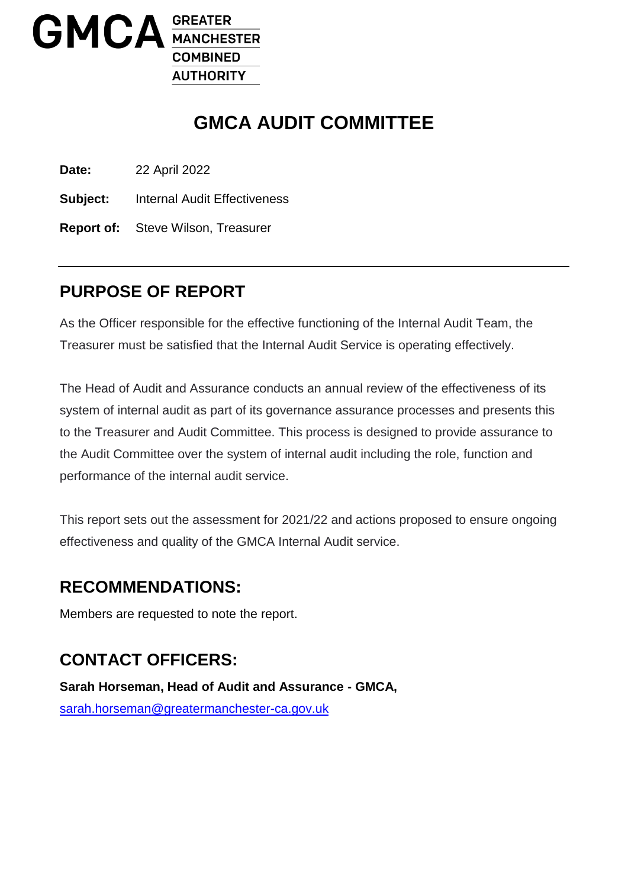

# **GMCA AUDIT COMMITTEE**

**Date:** 22 April 2022

**Subject:** Internal Audit Effectiveness

**Report of:** Steve Wilson, Treasurer

### **PURPOSE OF REPORT**

As the Officer responsible for the effective functioning of the Internal Audit Team, the Treasurer must be satisfied that the Internal Audit Service is operating effectively.

The Head of Audit and Assurance conducts an annual review of the effectiveness of its system of internal audit as part of its governance assurance processes and presents this to the Treasurer and Audit Committee. This process is designed to provide assurance to the Audit Committee over the system of internal audit including the role, function and performance of the internal audit service.

This report sets out the assessment for 2021/22 and actions proposed to ensure ongoing effectiveness and quality of the GMCA Internal Audit service.

### **RECOMMENDATIONS:**

Members are requested to note the report.

## **CONTACT OFFICERS:**

**Sarah Horseman, Head of Audit and Assurance - GMCA,**  [sarah.horseman@greatermanchester-ca.gov.uk](mailto:sarah.horseman@greatermanchester-ca.gov.uk)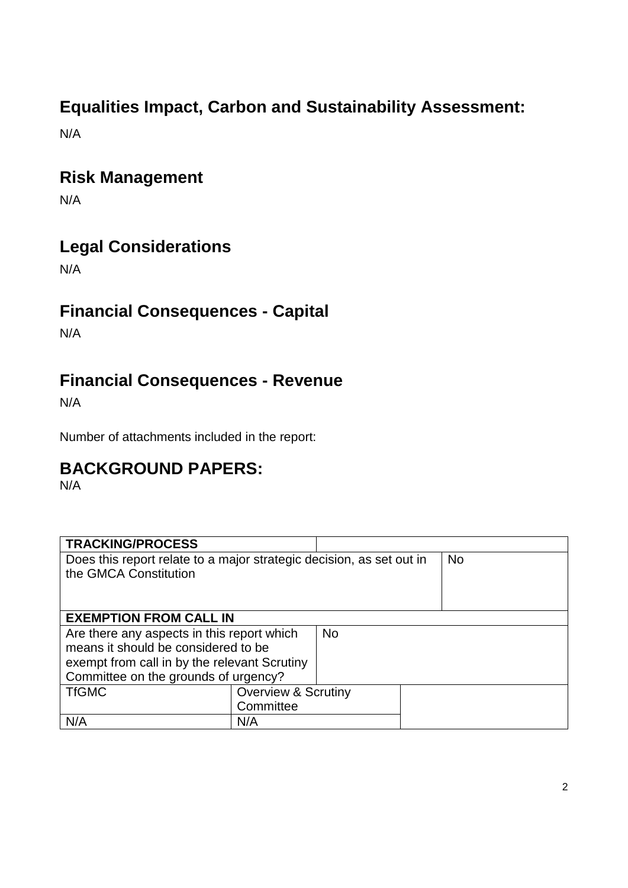# **Equalities Impact, Carbon and Sustainability Assessment:**

N/A

### **Risk Management**

N/A

## **Legal Considerations**

N/A

## **Financial Consequences - Capital**

N/A

## **Financial Consequences - Revenue**

N/A

Number of attachments included in the report:

## **BACKGROUND PAPERS:**

N/A

| <b>TRACKING/PROCESS</b>                                              |                                |           |           |
|----------------------------------------------------------------------|--------------------------------|-----------|-----------|
| Does this report relate to a major strategic decision, as set out in |                                |           | <b>No</b> |
| the GMCA Constitution                                                |                                |           |           |
|                                                                      |                                |           |           |
|                                                                      |                                |           |           |
| <b>EXEMPTION FROM CALL IN</b>                                        |                                |           |           |
| Are there any aspects in this report which                           |                                | <b>No</b> |           |
| means it should be considered to be                                  |                                |           |           |
| exempt from call in by the relevant Scrutiny                         |                                |           |           |
| Committee on the grounds of urgency?                                 |                                |           |           |
| <b>TfGMC</b>                                                         | <b>Overview &amp; Scrutiny</b> |           |           |
|                                                                      | Committee                      |           |           |
| N/A                                                                  | N/A                            |           |           |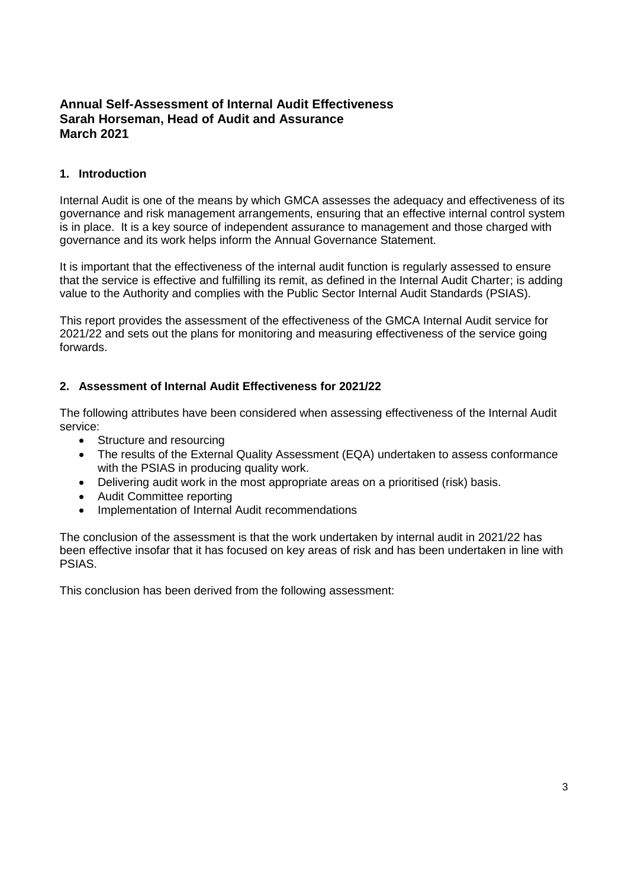### **Annual Self-Assessment of Internal Audit Effectiveness Sarah Horseman, Head of Audit and Assurance March 2021**

#### **1. Introduction**

Internal Audit is one of the means by which GMCA assesses the adequacy and effectiveness of its governance and risk management arrangements, ensuring that an effective internal control system is in place. It is a key source of independent assurance to management and those charged with governance and its work helps inform the Annual Governance Statement.

It is important that the effectiveness of the internal audit function is regularly assessed to ensure that the service is effective and fulfilling its remit, as defined in the Internal Audit Charter; is adding value to the Authority and complies with the Public Sector Internal Audit Standards (PSIAS).

This report provides the assessment of the effectiveness of the GMCA Internal Audit service for 2021/22 and sets out the plans for monitoring and measuring effectiveness of the service going forwards.

#### **2. Assessment of Internal Audit Effectiveness for 2021/22**

The following attributes have been considered when assessing effectiveness of the Internal Audit service:

- Structure and resourcing
- The results of the External Quality Assessment (EQA) undertaken to assess conformance with the PSIAS in producing quality work.
- Delivering audit work in the most appropriate areas on a prioritised (risk) basis.
- Audit Committee reporting
- Implementation of Internal Audit recommendations

The conclusion of the assessment is that the work undertaken by internal audit in 2021/22 has been effective insofar that it has focused on key areas of risk and has been undertaken in line with PSIAS.

This conclusion has been derived from the following assessment: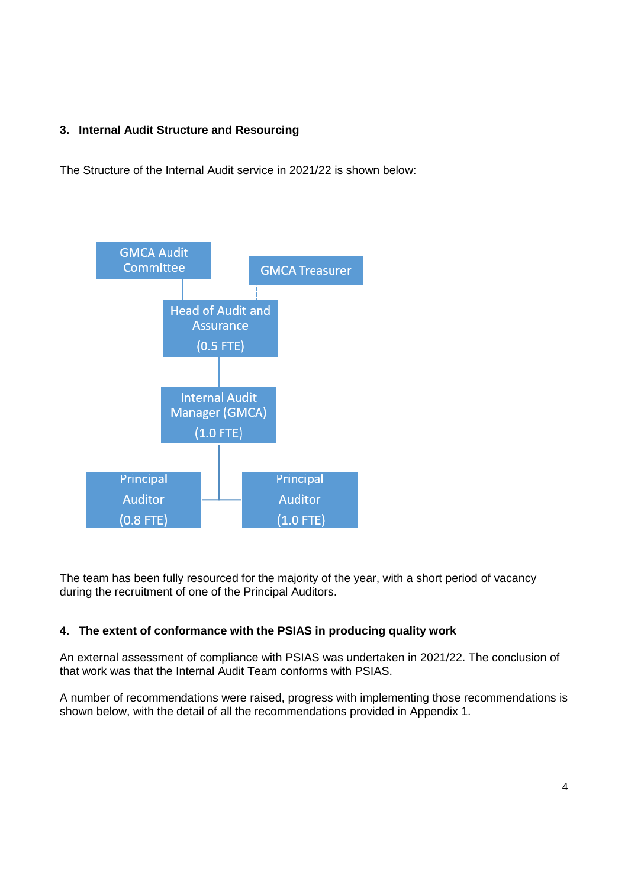### **3. Internal Audit Structure and Resourcing**

The Structure of the Internal Audit service in 2021/22 is shown below:



The team has been fully resourced for the majority of the year, with a short period of vacancy during the recruitment of one of the Principal Auditors.

### **4. The extent of conformance with the PSIAS in producing quality work**

An external assessment of compliance with PSIAS was undertaken in 2021/22. The conclusion of that work was that the Internal Audit Team conforms with PSIAS.

A number of recommendations were raised, progress with implementing those recommendations is shown below, with the detail of all the recommendations provided in Appendix 1.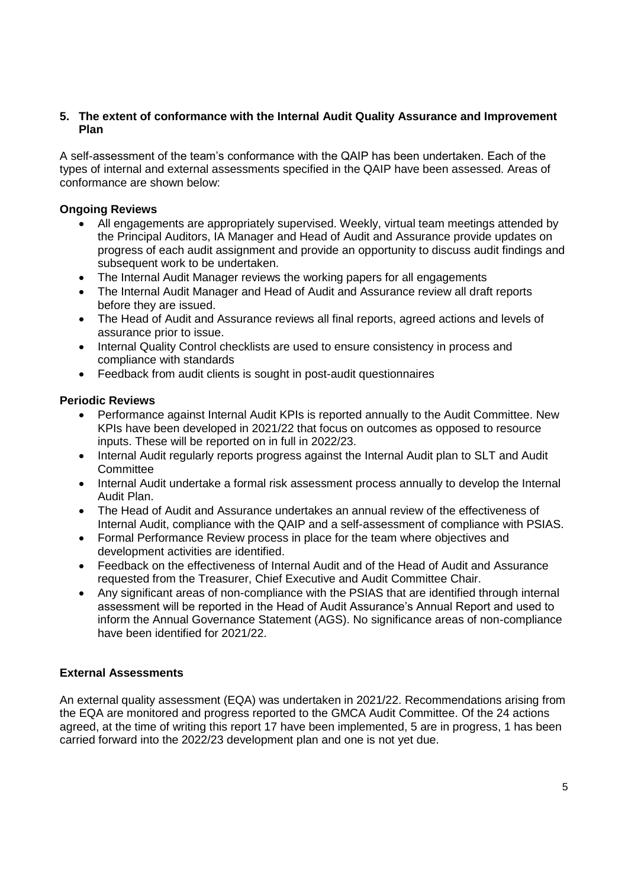#### **5. The extent of conformance with the Internal Audit Quality Assurance and Improvement Plan**

A self-assessment of the team's conformance with the QAIP has been undertaken. Each of the types of internal and external assessments specified in the QAIP have been assessed. Areas of conformance are shown below:

#### **Ongoing Reviews**

- All engagements are appropriately supervised. Weekly, virtual team meetings attended by the Principal Auditors, IA Manager and Head of Audit and Assurance provide updates on progress of each audit assignment and provide an opportunity to discuss audit findings and subsequent work to be undertaken.
- The Internal Audit Manager reviews the working papers for all engagements
- The Internal Audit Manager and Head of Audit and Assurance review all draft reports before they are issued.
- The Head of Audit and Assurance reviews all final reports, agreed actions and levels of assurance prior to issue.
- Internal Quality Control checklists are used to ensure consistency in process and compliance with standards
- Feedback from audit clients is sought in post-audit questionnaires

#### **Periodic Reviews**

- Performance against Internal Audit KPIs is reported annually to the Audit Committee. New KPIs have been developed in 2021/22 that focus on outcomes as opposed to resource inputs. These will be reported on in full in 2022/23.
- Internal Audit regularly reports progress against the Internal Audit plan to SLT and Audit **Committee**
- Internal Audit undertake a formal risk assessment process annually to develop the Internal Audit Plan.
- The Head of Audit and Assurance undertakes an annual review of the effectiveness of Internal Audit, compliance with the QAIP and a self-assessment of compliance with PSIAS.
- Formal Performance Review process in place for the team where objectives and development activities are identified.
- Feedback on the effectiveness of Internal Audit and of the Head of Audit and Assurance requested from the Treasurer, Chief Executive and Audit Committee Chair.
- Any significant areas of non-compliance with the PSIAS that are identified through internal assessment will be reported in the Head of Audit Assurance's Annual Report and used to inform the Annual Governance Statement (AGS). No significance areas of non-compliance have been identified for 2021/22.

#### **External Assessments**

An external quality assessment (EQA) was undertaken in 2021/22. Recommendations arising from the EQA are monitored and progress reported to the GMCA Audit Committee. Of the 24 actions agreed, at the time of writing this report 17 have been implemented, 5 are in progress, 1 has been carried forward into the 2022/23 development plan and one is not yet due.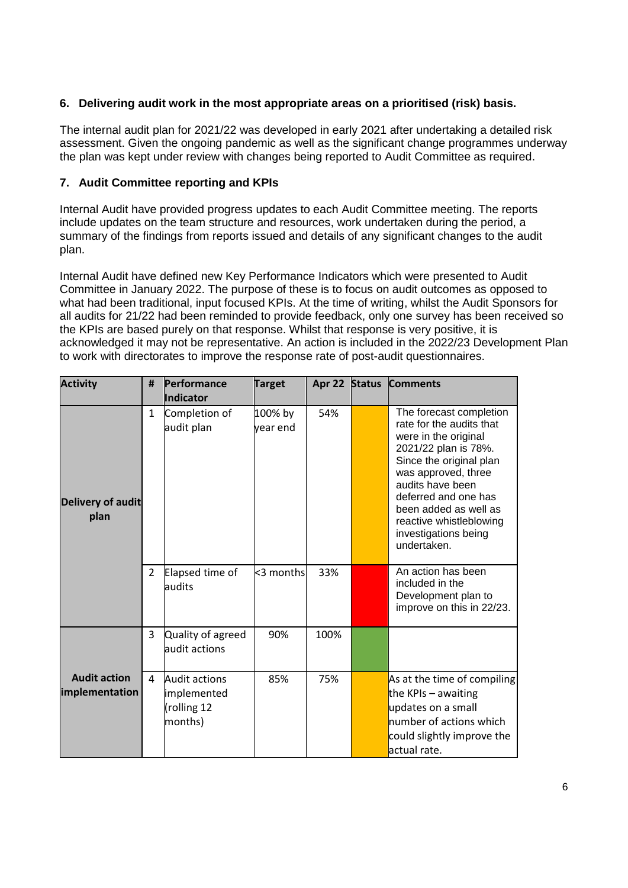### **6. Delivering audit work in the most appropriate areas on a prioritised (risk) basis.**

The internal audit plan for 2021/22 was developed in early 2021 after undertaking a detailed risk assessment. Given the ongoing pandemic as well as the significant change programmes underway the plan was kept under review with changes being reported to Audit Committee as required.

#### **7. Audit Committee reporting and KPIs**

Internal Audit have provided progress updates to each Audit Committee meeting. The reports include updates on the team structure and resources, work undertaken during the period, a summary of the findings from reports issued and details of any significant changes to the audit plan.

Internal Audit have defined new Key Performance Indicators which were presented to Audit Committee in January 2022. The purpose of these is to focus on audit outcomes as opposed to what had been traditional, input focused KPIs. At the time of writing, whilst the Audit Sponsors for all audits for 21/22 had been reminded to provide feedback, only one survey has been received so the KPIs are based purely on that response. Whilst that response is very positive, it is acknowledged it may not be representative. An action is included in the 2022/23 Development Plan to work with directorates to improve the response rate of post-audit questionnaires.

| <b>Activity</b>                       | #              | Performance<br>Indicator                                      | <b>Target</b>       | Apr 22 | <b>Status</b> | <b>Comments</b>                                                                                                                                                                                                                                                                              |
|---------------------------------------|----------------|---------------------------------------------------------------|---------------------|--------|---------------|----------------------------------------------------------------------------------------------------------------------------------------------------------------------------------------------------------------------------------------------------------------------------------------------|
| <b>Delivery of audit</b><br>plan      | $\mathbf{1}$   | Completion of<br>audit plan                                   | 100% by<br>vear end | 54%    |               | The forecast completion<br>rate for the audits that<br>were in the original<br>2021/22 plan is 78%.<br>Since the original plan<br>was approved, three<br>audits have been<br>deferred and one has<br>been added as well as<br>reactive whistleblowing<br>investigations being<br>undertaken. |
|                                       | $\overline{2}$ | Elapsed time of<br>audits                                     | <3 months           | 33%    |               | An action has been<br>included in the<br>Development plan to<br>improve on this in 22/23.                                                                                                                                                                                                    |
|                                       | 3              | Quality of agreed<br>audit actions                            | 90%                 | 100%   |               |                                                                                                                                                                                                                                                                                              |
| <b>Audit action</b><br>implementation | 4              | <b>Audit actions</b><br>implemented<br>(rolling 12<br>months) | 85%                 | 75%    |               | As at the time of compiling<br>the KPIs $-$ awaiting<br>updates on a small<br>number of actions which<br>could slightly improve the<br>actual rate.                                                                                                                                          |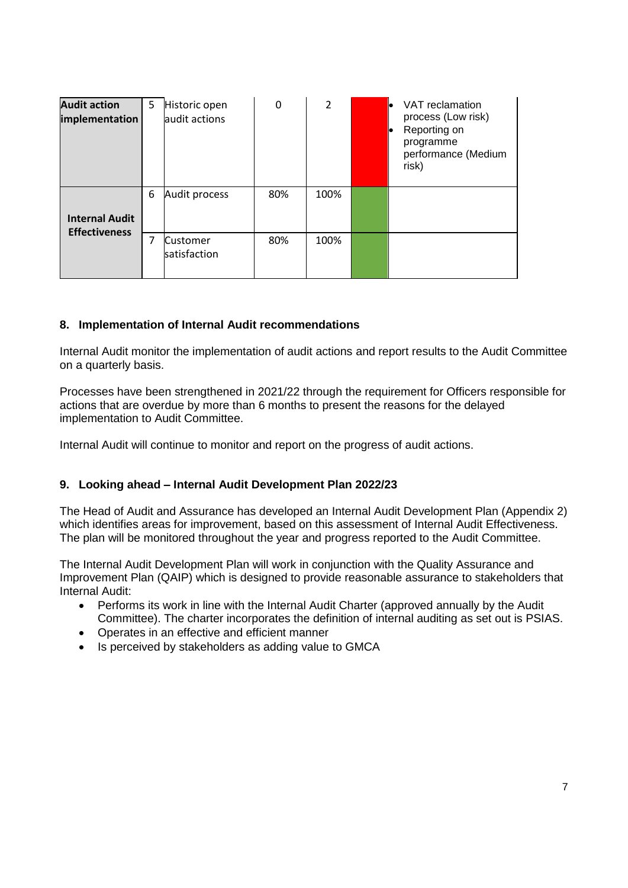| <b>Audit action</b><br>implementation | 5 | Historic open<br>audit actions  | 0   | $\overline{2}$ | VAT reclamation<br>process (Low risk)<br>Reporting on<br>programme<br>performance (Medium<br>risk) |
|---------------------------------------|---|---------------------------------|-----|----------------|----------------------------------------------------------------------------------------------------|
| <b>Internal Audit</b>                 | 6 | Audit process                   | 80% | 100%           |                                                                                                    |
| <b>Effectiveness</b>                  | 7 | <b>Customer</b><br>satisfaction | 80% | 100%           |                                                                                                    |

#### **8. Implementation of Internal Audit recommendations**

Internal Audit monitor the implementation of audit actions and report results to the Audit Committee on a quarterly basis.

Processes have been strengthened in 2021/22 through the requirement for Officers responsible for actions that are overdue by more than 6 months to present the reasons for the delayed implementation to Audit Committee.

Internal Audit will continue to monitor and report on the progress of audit actions.

#### **9. Looking ahead – Internal Audit Development Plan 2022/23**

The Head of Audit and Assurance has developed an Internal Audit Development Plan (Appendix 2) which identifies areas for improvement, based on this assessment of Internal Audit Effectiveness. The plan will be monitored throughout the year and progress reported to the Audit Committee.

The Internal Audit Development Plan will work in conjunction with the Quality Assurance and Improvement Plan (QAIP) which is designed to provide reasonable assurance to stakeholders that Internal Audit:

- Performs its work in line with the Internal Audit Charter (approved annually by the Audit Committee). The charter incorporates the definition of internal auditing as set out is PSIAS.
- Operates in an effective and efficient manner
- Is perceived by stakeholders as adding value to GMCA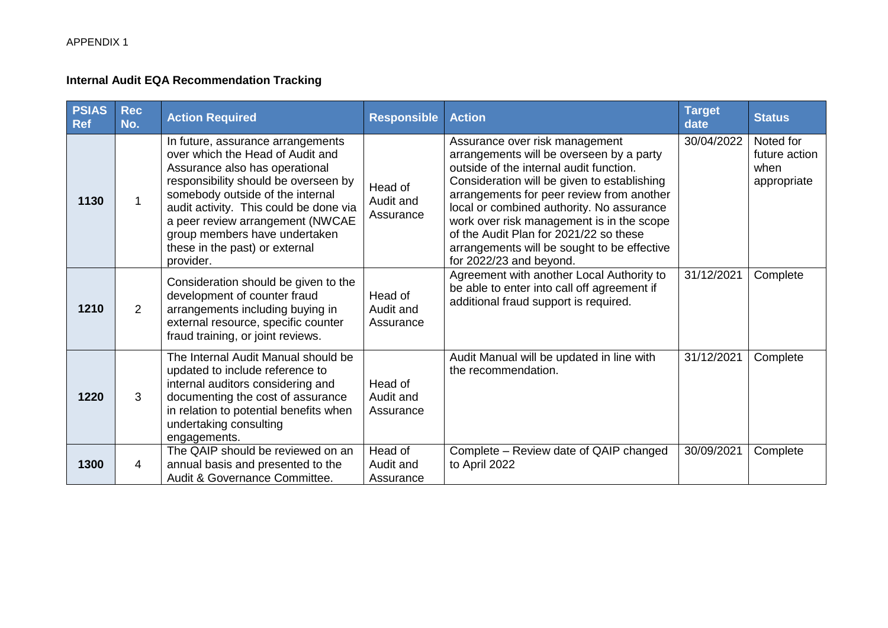### **Internal Audit EQA Recommendation Tracking**

| <b>PSIAS</b><br><b>Ref</b> | <b>Rec</b><br>No. | <b>Action Required</b>                                                                                                                                                                                                                                                                                                                            | <b>Responsible</b>                | <b>Action</b>                                                                                                                                                                                                                                                                                                                                                                                                                   | <b>Target</b><br>date | <b>Status</b>                                     |
|----------------------------|-------------------|---------------------------------------------------------------------------------------------------------------------------------------------------------------------------------------------------------------------------------------------------------------------------------------------------------------------------------------------------|-----------------------------------|---------------------------------------------------------------------------------------------------------------------------------------------------------------------------------------------------------------------------------------------------------------------------------------------------------------------------------------------------------------------------------------------------------------------------------|-----------------------|---------------------------------------------------|
| 1130                       |                   | In future, assurance arrangements<br>over which the Head of Audit and<br>Assurance also has operational<br>responsibility should be overseen by<br>somebody outside of the internal<br>audit activity. This could be done via<br>a peer review arrangement (NWCAE<br>group members have undertaken<br>these in the past) or external<br>provider. | Head of<br>Audit and<br>Assurance | Assurance over risk management<br>arrangements will be overseen by a party<br>outside of the internal audit function.<br>Consideration will be given to establishing<br>arrangements for peer review from another<br>local or combined authority. No assurance<br>work over risk management is in the scope<br>of the Audit Plan for 2021/22 so these<br>arrangements will be sought to be effective<br>for 2022/23 and beyond. | 30/04/2022            | Noted for<br>future action<br>when<br>appropriate |
| 1210                       | $\overline{2}$    | Consideration should be given to the<br>development of counter fraud<br>arrangements including buying in<br>external resource, specific counter<br>fraud training, or joint reviews.                                                                                                                                                              | Head of<br>Audit and<br>Assurance | Agreement with another Local Authority to<br>be able to enter into call off agreement if<br>additional fraud support is required.                                                                                                                                                                                                                                                                                               | 31/12/2021            | Complete                                          |
| 1220                       | 3                 | The Internal Audit Manual should be<br>updated to include reference to<br>internal auditors considering and<br>documenting the cost of assurance<br>in relation to potential benefits when<br>undertaking consulting<br>engagements.                                                                                                              | Head of<br>Audit and<br>Assurance | Audit Manual will be updated in line with<br>the recommendation.                                                                                                                                                                                                                                                                                                                                                                | 31/12/2021            | Complete                                          |
| 1300                       | 4                 | The QAIP should be reviewed on an<br>annual basis and presented to the<br>Audit & Governance Committee.                                                                                                                                                                                                                                           | Head of<br>Audit and<br>Assurance | Complete - Review date of QAIP changed<br>to April 2022                                                                                                                                                                                                                                                                                                                                                                         | 30/09/2021            | Complete                                          |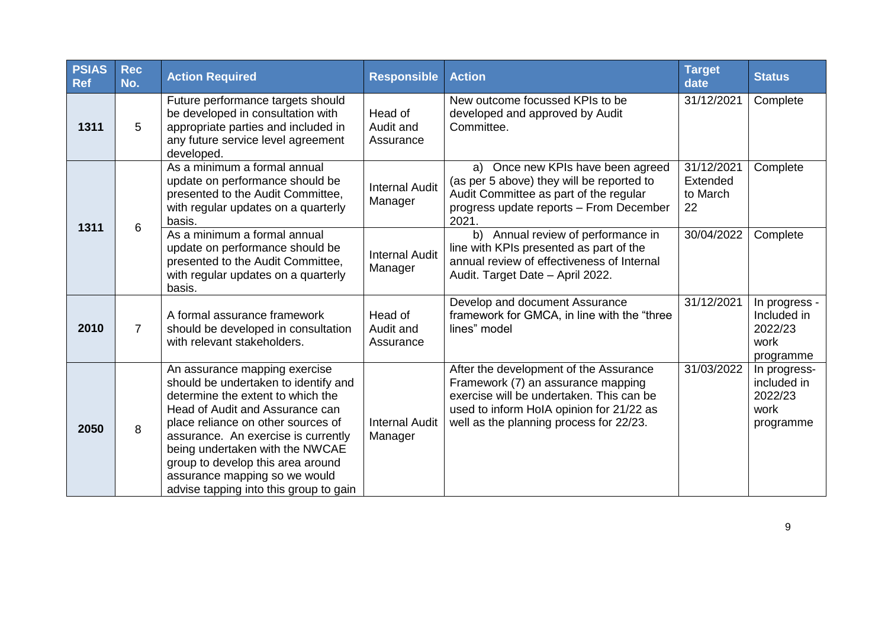| <b>PSIAS</b><br><b>Ref</b> | <b>Rec</b><br>No. | <b>Action Required</b>                                                                                                                                                                                                                                                                                                                                                        | <b>Responsible</b>                | <b>Action</b>                                                                                                                                                                                                   | <b>Target</b><br>date                    | <b>Status</b>                                                |
|----------------------------|-------------------|-------------------------------------------------------------------------------------------------------------------------------------------------------------------------------------------------------------------------------------------------------------------------------------------------------------------------------------------------------------------------------|-----------------------------------|-----------------------------------------------------------------------------------------------------------------------------------------------------------------------------------------------------------------|------------------------------------------|--------------------------------------------------------------|
| 1311                       | 5                 | Future performance targets should<br>be developed in consultation with<br>appropriate parties and included in<br>any future service level agreement<br>developed.                                                                                                                                                                                                             | Head of<br>Audit and<br>Assurance | New outcome focussed KPIs to be<br>developed and approved by Audit<br>Committee.                                                                                                                                | 31/12/2021                               | Complete                                                     |
|                            |                   | As a minimum a formal annual<br>update on performance should be<br>presented to the Audit Committee,<br>with regular updates on a quarterly<br>basis.                                                                                                                                                                                                                         | <b>Internal Audit</b><br>Manager  | a) Once new KPIs have been agreed<br>(as per 5 above) they will be reported to<br>Audit Committee as part of the regular<br>progress update reports - From December<br>2021.                                    | 31/12/2021<br>Extended<br>to March<br>22 | Complete                                                     |
| 1311                       | 6                 | As a minimum a formal annual<br>update on performance should be<br>presented to the Audit Committee,<br>with regular updates on a quarterly<br>basis.                                                                                                                                                                                                                         | <b>Internal Audit</b><br>Manager  | Annual review of performance in<br>b)<br>line with KPIs presented as part of the<br>annual review of effectiveness of Internal<br>Audit. Target Date - April 2022.                                              | 30/04/2022                               | Complete                                                     |
| 2010                       | $\overline{7}$    | A formal assurance framework<br>should be developed in consultation<br>with relevant stakeholders.                                                                                                                                                                                                                                                                            | Head of<br>Audit and<br>Assurance | Develop and document Assurance<br>framework for GMCA, in line with the "three<br>lines" model                                                                                                                   | 31/12/2021                               | In progress -<br>Included in<br>2022/23<br>work<br>programme |
| 2050                       | 8                 | An assurance mapping exercise<br>should be undertaken to identify and<br>determine the extent to which the<br>Head of Audit and Assurance can<br>place reliance on other sources of<br>assurance. An exercise is currently<br>being undertaken with the NWCAE<br>group to develop this area around<br>assurance mapping so we would<br>advise tapping into this group to gain | <b>Internal Audit</b><br>Manager  | After the development of the Assurance<br>Framework (7) an assurance mapping<br>exercise will be undertaken. This can be<br>used to inform HoIA opinion for 21/22 as<br>well as the planning process for 22/23. | 31/03/2022                               | In progress-<br>included in<br>2022/23<br>work<br>programme  |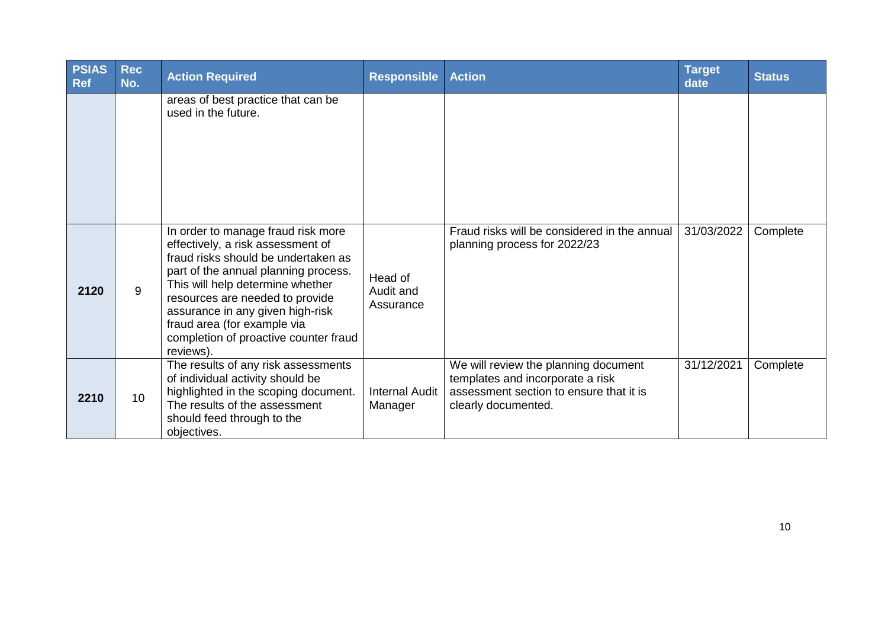| <b>PSIAS</b><br><b>Ref</b> | <b>Rec</b><br>No. | <b>Action Required</b>                                                                                                                                                                                                                                                                                                                                 | <b>Responsible</b>                | <b>Action</b>                                                                                                                              | <b>Target</b><br>date | <b>Status</b> |
|----------------------------|-------------------|--------------------------------------------------------------------------------------------------------------------------------------------------------------------------------------------------------------------------------------------------------------------------------------------------------------------------------------------------------|-----------------------------------|--------------------------------------------------------------------------------------------------------------------------------------------|-----------------------|---------------|
|                            |                   | areas of best practice that can be<br>used in the future.                                                                                                                                                                                                                                                                                              |                                   |                                                                                                                                            |                       |               |
| 2120                       | 9                 | In order to manage fraud risk more<br>effectively, a risk assessment of<br>fraud risks should be undertaken as<br>part of the annual planning process.<br>This will help determine whether<br>resources are needed to provide<br>assurance in any given high-risk<br>fraud area (for example via<br>completion of proactive counter fraud<br>reviews). | Head of<br>Audit and<br>Assurance | Fraud risks will be considered in the annual<br>planning process for 2022/23                                                               | 31/03/2022            | Complete      |
| 2210                       | 10                | The results of any risk assessments<br>of individual activity should be<br>highlighted in the scoping document.<br>The results of the assessment<br>should feed through to the<br>objectives.                                                                                                                                                          | <b>Internal Audit</b><br>Manager  | We will review the planning document<br>templates and incorporate a risk<br>assessment section to ensure that it is<br>clearly documented. | 31/12/2021            | Complete      |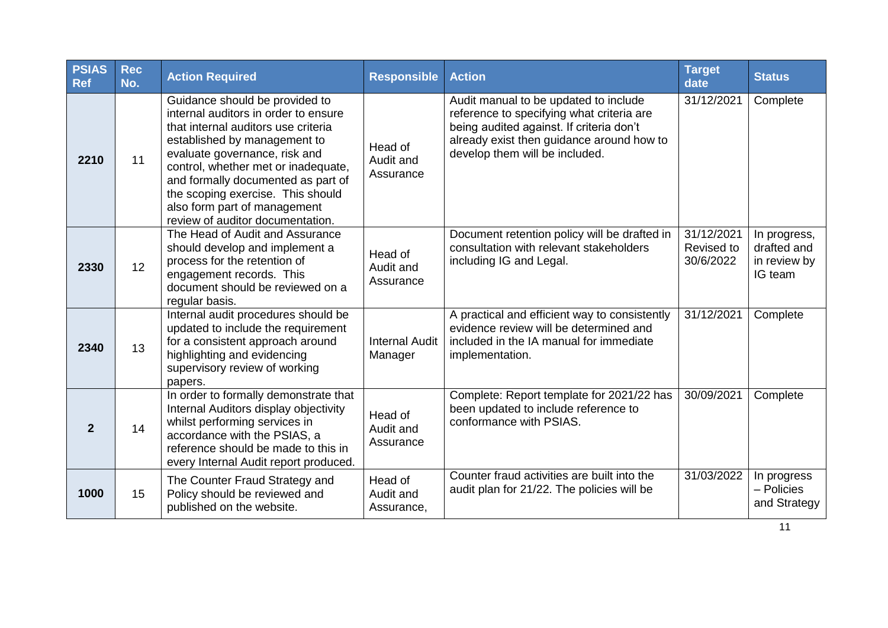| <b>PSIAS</b><br><b>Ref</b> | <b>Rec</b><br>No. | <b>Action Required</b>                                                                                                                                                                                                                                                                                                                                               | <b>Responsible</b>                 | <b>Action</b>                                                                                                                                                                                                 | <b>Target</b><br>date                 | <b>Status</b>                                          |
|----------------------------|-------------------|----------------------------------------------------------------------------------------------------------------------------------------------------------------------------------------------------------------------------------------------------------------------------------------------------------------------------------------------------------------------|------------------------------------|---------------------------------------------------------------------------------------------------------------------------------------------------------------------------------------------------------------|---------------------------------------|--------------------------------------------------------|
| 2210                       | 11                | Guidance should be provided to<br>internal auditors in order to ensure<br>that internal auditors use criteria<br>established by management to<br>evaluate governance, risk and<br>control, whether met or inadequate,<br>and formally documented as part of<br>the scoping exercise. This should<br>also form part of management<br>review of auditor documentation. | Head of<br>Audit and<br>Assurance  | Audit manual to be updated to include<br>reference to specifying what criteria are<br>being audited against. If criteria don't<br>already exist then guidance around how to<br>develop them will be included. | 31/12/2021                            | Complete                                               |
| 2330                       | 12                | The Head of Audit and Assurance<br>should develop and implement a<br>process for the retention of<br>engagement records. This<br>document should be reviewed on a<br>regular basis.                                                                                                                                                                                  | Head of<br>Audit and<br>Assurance  | Document retention policy will be drafted in<br>consultation with relevant stakeholders<br>including IG and Legal.                                                                                            | 31/12/2021<br>Revised to<br>30/6/2022 | In progress,<br>drafted and<br>in review by<br>IG team |
| 2340                       | 13                | Internal audit procedures should be<br>updated to include the requirement<br>for a consistent approach around<br>highlighting and evidencing<br>supervisory review of working<br>papers.                                                                                                                                                                             | <b>Internal Audit</b><br>Manager   | A practical and efficient way to consistently<br>evidence review will be determined and<br>included in the IA manual for immediate<br>implementation.                                                         | 31/12/2021                            | Complete                                               |
| $\overline{2}$             | 14                | In order to formally demonstrate that<br>Internal Auditors display objectivity<br>whilst performing services in<br>accordance with the PSIAS, a<br>reference should be made to this in<br>every Internal Audit report produced.                                                                                                                                      | Head of<br>Audit and<br>Assurance  | Complete: Report template for 2021/22 has<br>been updated to include reference to<br>conformance with PSIAS.                                                                                                  | 30/09/2021                            | Complete                                               |
| 1000                       | 15                | The Counter Fraud Strategy and<br>Policy should be reviewed and<br>published on the website.                                                                                                                                                                                                                                                                         | Head of<br>Audit and<br>Assurance, | Counter fraud activities are built into the<br>audit plan for 21/22. The policies will be                                                                                                                     | 31/03/2022                            | In progress<br>- Policies<br>and Strategy              |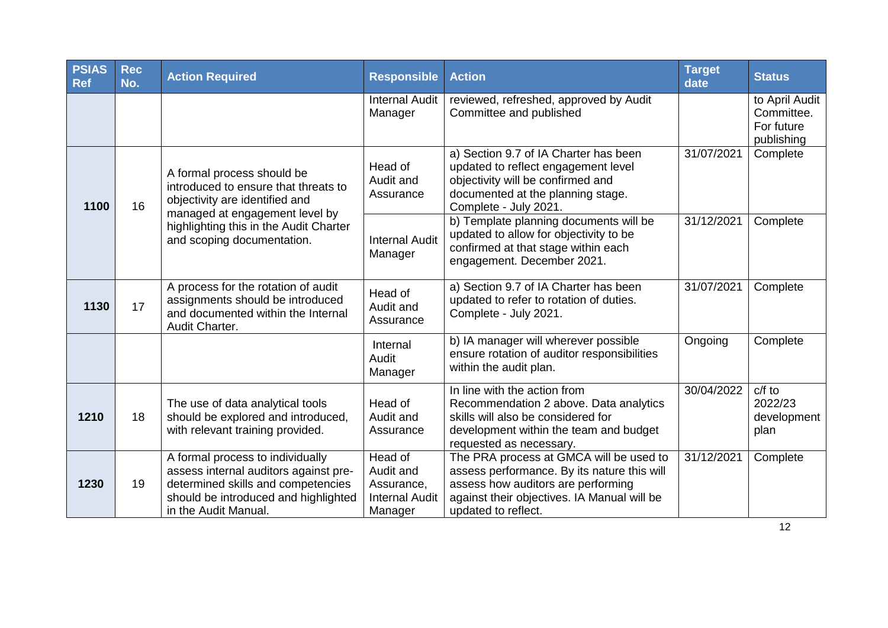| <b>PSIAS</b><br><b>Ref</b> | <b>Rec</b><br>No. | <b>Action Required</b>                                                                                                                                                                                         | <b>Responsible</b>                                                     | <b>Action</b>                                                                                                                                                                                      | <b>Target</b><br>date | <b>Status</b>                                            |
|----------------------------|-------------------|----------------------------------------------------------------------------------------------------------------------------------------------------------------------------------------------------------------|------------------------------------------------------------------------|----------------------------------------------------------------------------------------------------------------------------------------------------------------------------------------------------|-----------------------|----------------------------------------------------------|
|                            |                   |                                                                                                                                                                                                                | <b>Internal Audit</b><br>Manager                                       | reviewed, refreshed, approved by Audit<br>Committee and published                                                                                                                                  |                       | to April Audit<br>Committee.<br>For future<br>publishing |
| 1100                       | 16                | A formal process should be<br>introduced to ensure that threats to<br>objectivity are identified and<br>managed at engagement level by<br>highlighting this in the Audit Charter<br>and scoping documentation. | Head of<br>Audit and<br>Assurance                                      | a) Section 9.7 of IA Charter has been<br>updated to reflect engagement level<br>objectivity will be confirmed and<br>documented at the planning stage.<br>Complete - July 2021.                    | 31/07/2021            | Complete                                                 |
|                            |                   |                                                                                                                                                                                                                | <b>Internal Audit</b><br>Manager                                       | b) Template planning documents will be<br>updated to allow for objectivity to be<br>confirmed at that stage within each<br>engagement. December 2021.                                              | 31/12/2021            | Complete                                                 |
| 1130                       | 17                | A process for the rotation of audit<br>assignments should be introduced<br>and documented within the Internal<br>Audit Charter.                                                                                | Head of<br>Audit and<br>Assurance                                      | a) Section 9.7 of IA Charter has been<br>updated to refer to rotation of duties.<br>Complete - July 2021.                                                                                          | 31/07/2021            | Complete                                                 |
|                            |                   |                                                                                                                                                                                                                | Internal<br>Audit<br>Manager                                           | b) IA manager will wherever possible<br>ensure rotation of auditor responsibilities<br>within the audit plan.                                                                                      | Ongoing               | Complete                                                 |
| 1210                       | 18                | The use of data analytical tools<br>should be explored and introduced,<br>with relevant training provided.                                                                                                     | Head of<br>Audit and<br>Assurance                                      | In line with the action from<br>Recommendation 2 above. Data analytics<br>skills will also be considered for<br>development within the team and budget<br>requested as necessary.                  | 30/04/2022            | $c/f$ to<br>2022/23<br>development<br>plan               |
| 1230                       | 19                | A formal process to individually<br>assess internal auditors against pre-<br>determined skills and competencies<br>should be introduced and highlighted<br>in the Audit Manual.                                | Head of<br>Audit and<br>Assurance,<br><b>Internal Audit</b><br>Manager | The PRA process at GMCA will be used to<br>assess performance. By its nature this will<br>assess how auditors are performing<br>against their objectives. IA Manual will be<br>updated to reflect. | 31/12/2021            | Complete                                                 |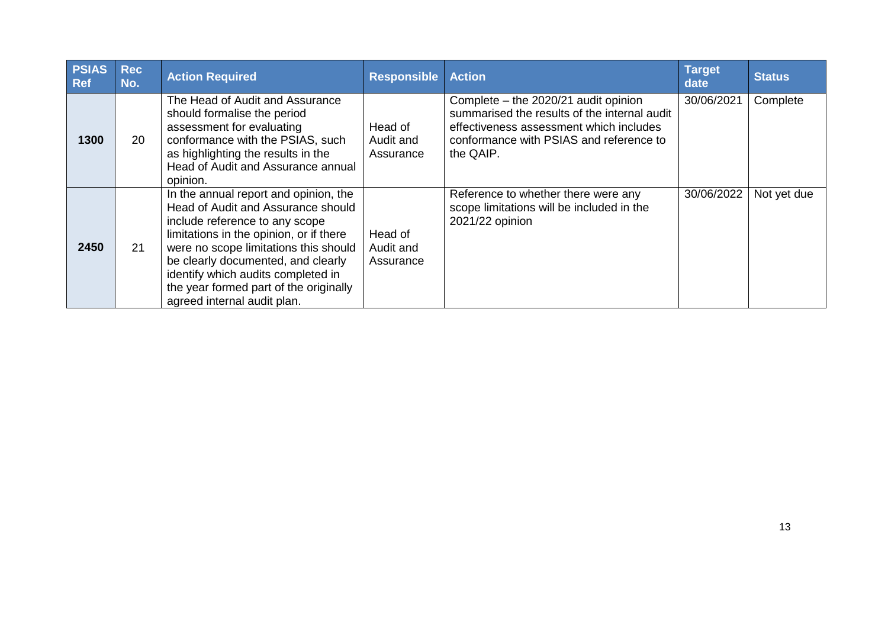| <b>PSIAS</b><br><b>Ref</b> | <b>Rec</b><br>No. | <b>Action Required</b>                                                                                                                                                                                                                                                                                                                                 | <b>Responsible</b>                | <b>Action</b>                                                                                                                                                                           | <b>Target</b><br>date | <b>Status</b> |
|----------------------------|-------------------|--------------------------------------------------------------------------------------------------------------------------------------------------------------------------------------------------------------------------------------------------------------------------------------------------------------------------------------------------------|-----------------------------------|-----------------------------------------------------------------------------------------------------------------------------------------------------------------------------------------|-----------------------|---------------|
| 1300                       | 20                | The Head of Audit and Assurance<br>should formalise the period<br>assessment for evaluating<br>conformance with the PSIAS, such<br>as highlighting the results in the<br>Head of Audit and Assurance annual<br>opinion.                                                                                                                                | Head of<br>Audit and<br>Assurance | Complete – the 2020/21 audit opinion<br>summarised the results of the internal audit<br>effectiveness assessment which includes<br>conformance with PSIAS and reference to<br>the QAIP. | 30/06/2021            | Complete      |
| 2450                       | 21                | In the annual report and opinion, the<br>Head of Audit and Assurance should<br>include reference to any scope<br>limitations in the opinion, or if there<br>were no scope limitations this should<br>be clearly documented, and clearly<br>identify which audits completed in<br>the year formed part of the originally<br>agreed internal audit plan. | Head of<br>Audit and<br>Assurance | Reference to whether there were any<br>scope limitations will be included in the<br>2021/22 opinion                                                                                     | 30/06/2022            | Not yet due   |